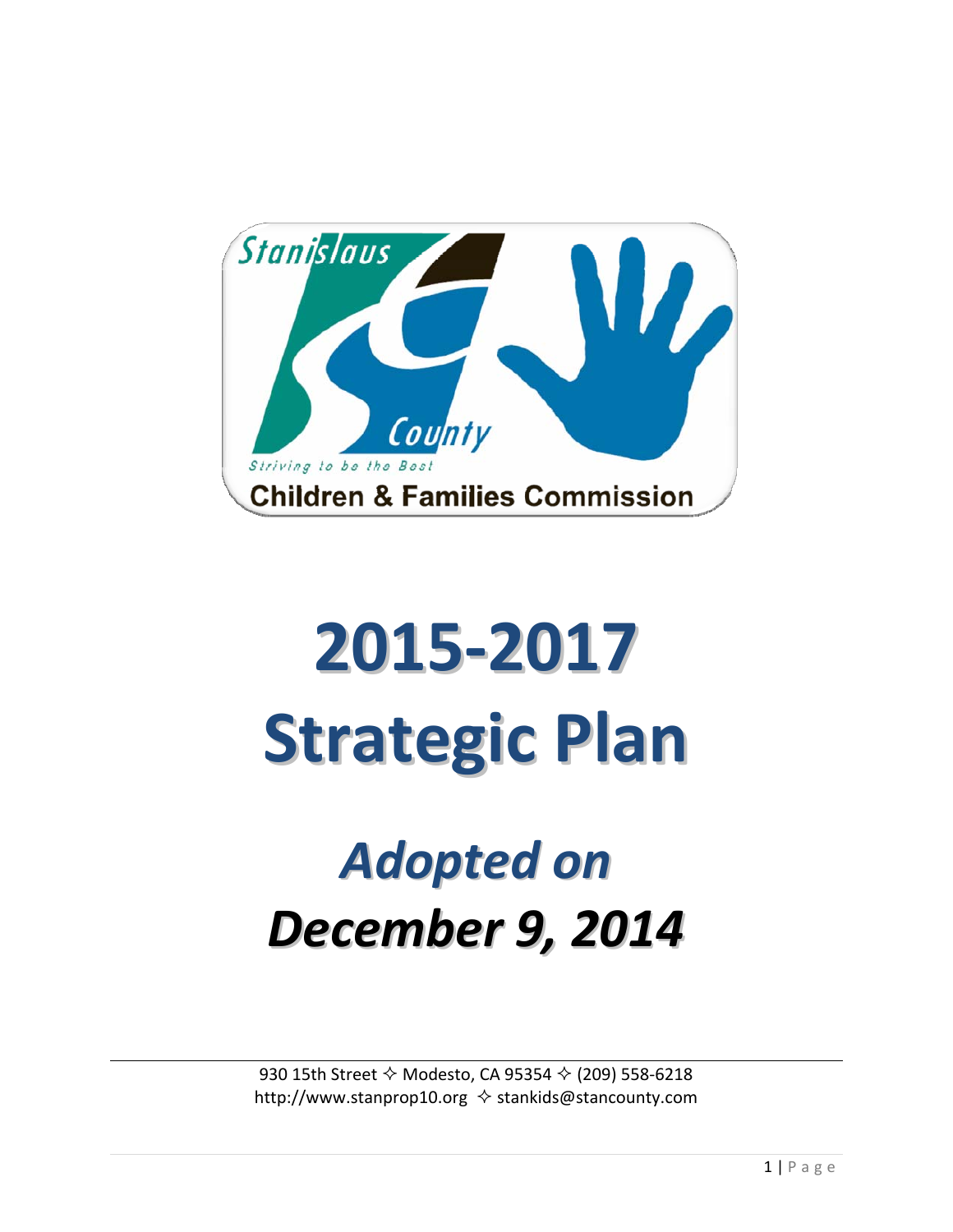

# **2015‐2017 Strategic Plan**

# *Adopted on December 9, 2014*

930 15th Street Modesto, CA 95354 (209) 558‐6218 http://www.stanprop10.org  $\Diamond$  stankids@stancounty.com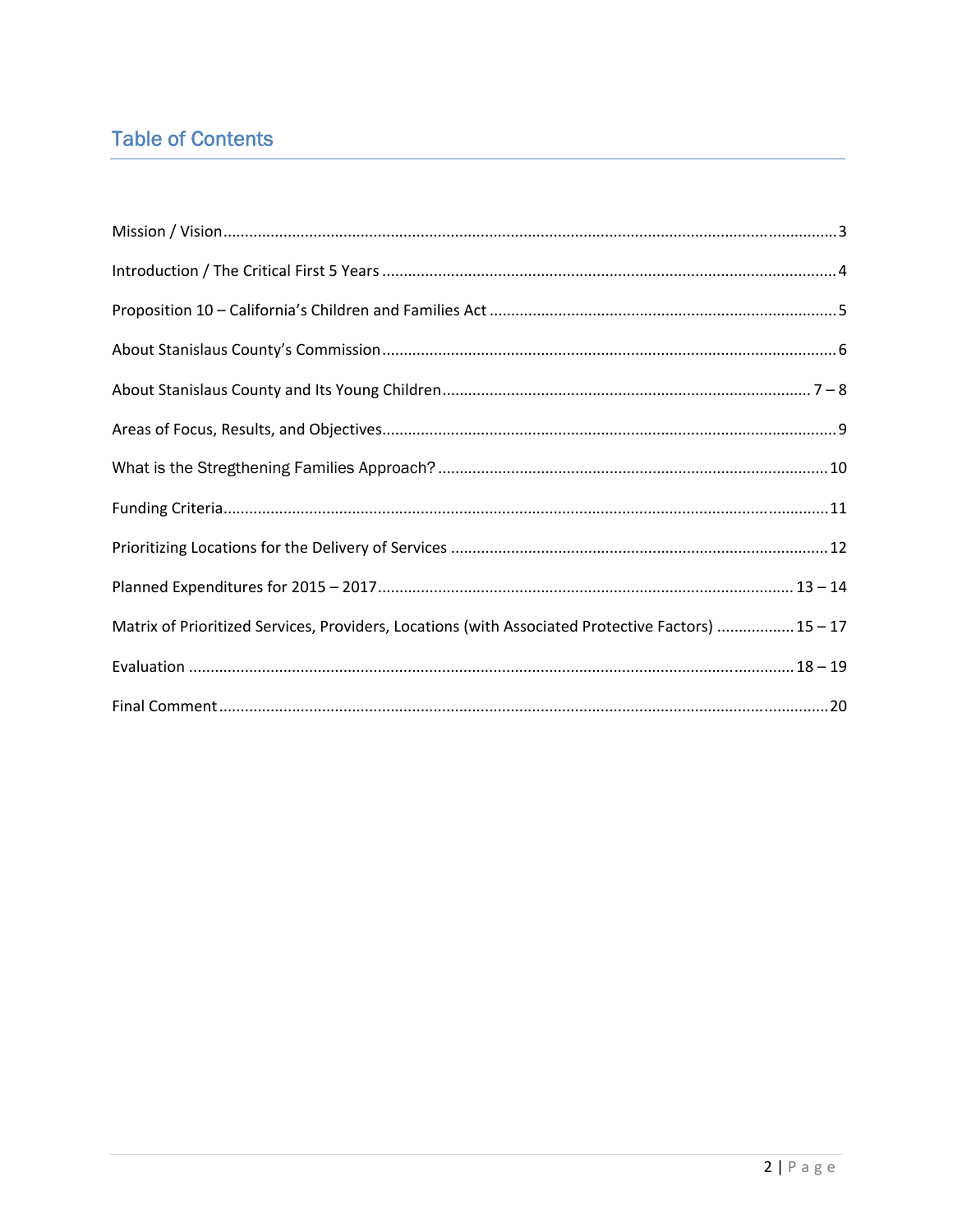# **Table of Contents**

| Matrix of Prioritized Services, Providers, Locations (with Associated Protective Factors)  15 - 17 |
|----------------------------------------------------------------------------------------------------|
|                                                                                                    |
|                                                                                                    |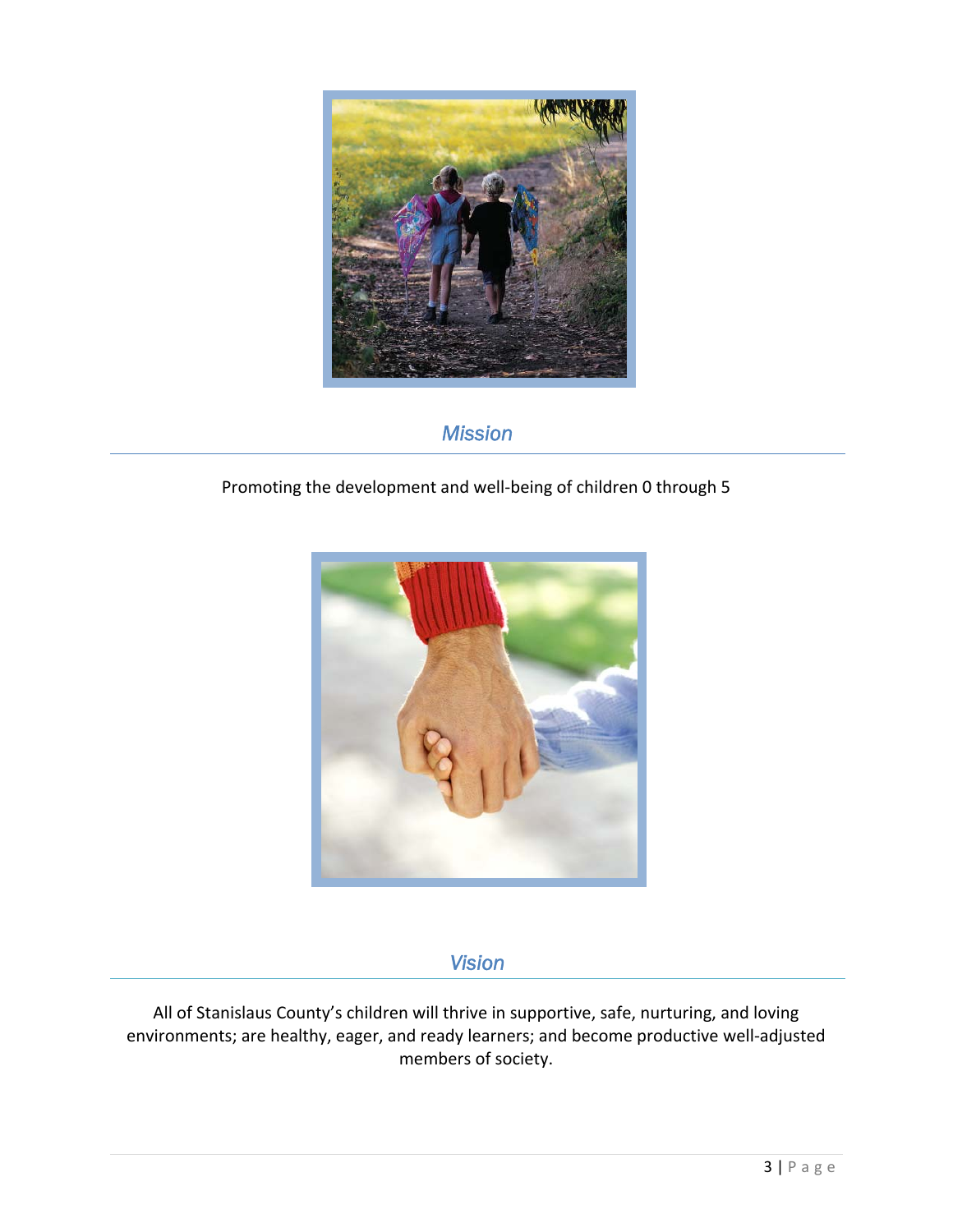

# *Mission*

### Promoting the development and well‐being of children 0 through 5



# *Vision*

All of Stanislaus County's children will thrive in supportive, safe, nurturing, and loving environments; are healthy, eager, and ready learners; and become productive well‐adjusted members of society.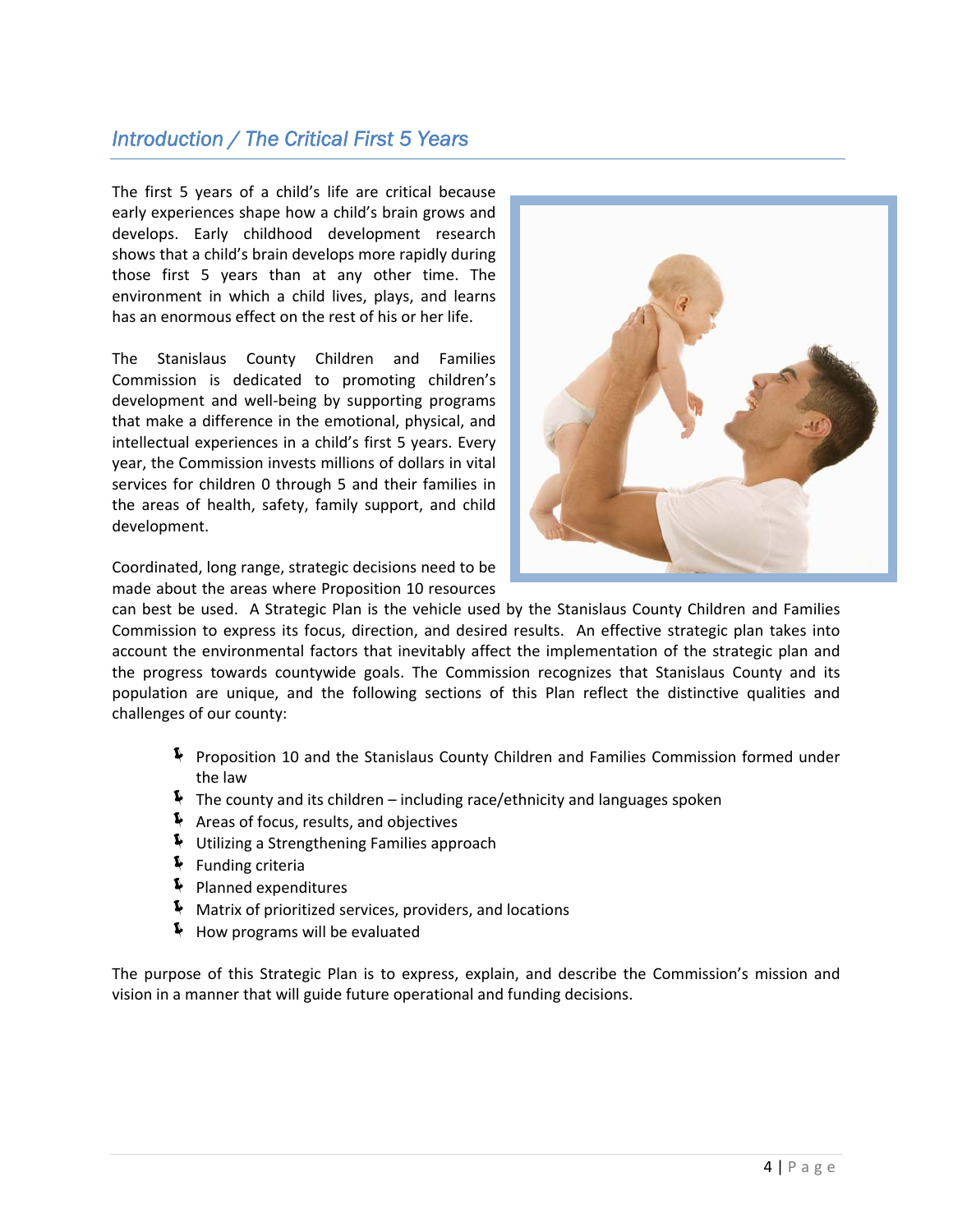# *Introduction / The Critical First 5 Years*

The first 5 years of a child's life are critical because early experiences shape how a child's brain grows and develops. Early childhood development research shows that a child's brain develops more rapidly during those first 5 years than at any other time. The environment in which a child lives, plays, and learns has an enormous effect on the rest of his or her life.

The Stanislaus County Children and Families Commission is dedicated to promoting children's development and well‐being by supporting programs that make a difference in the emotional, physical, and intellectual experiences in a child's first 5 years. Every year, the Commission invests millions of dollars in vital services for children 0 through 5 and their families in the areas of health, safety, family support, and child development.

Coordinated, long range, strategic decisions need to be made about the areas where Proposition 10 resources



can best be used. A Strategic Plan is the vehicle used by the Stanislaus County Children and Families Commission to express its focus, direction, and desired results. An effective strategic plan takes into account the environmental factors that inevitably affect the implementation of the strategic plan and the progress towards countywide goals. The Commission recognizes that Stanislaus County and its population are unique, and the following sections of this Plan reflect the distinctive qualities and challenges of our county:

- Í Proposition 10 and the Stanislaus County Children and Families Commission formed under the law
- $\blacklozenge$  The county and its children including race/ethnicity and languages spoken
- Í Areas of focus, results, and objectives
- Í Utilizing a Strengthening Families approach
- $\blacklozenge$  Funding criteria
- $\blacktriangleright$  Planned expenditures
- $\blacklozenge$  Matrix of prioritized services, providers, and locations
- $\blacklozenge$  How programs will be evaluated

The purpose of this Strategic Plan is to express, explain, and describe the Commission's mission and vision in a manner that will guide future operational and funding decisions.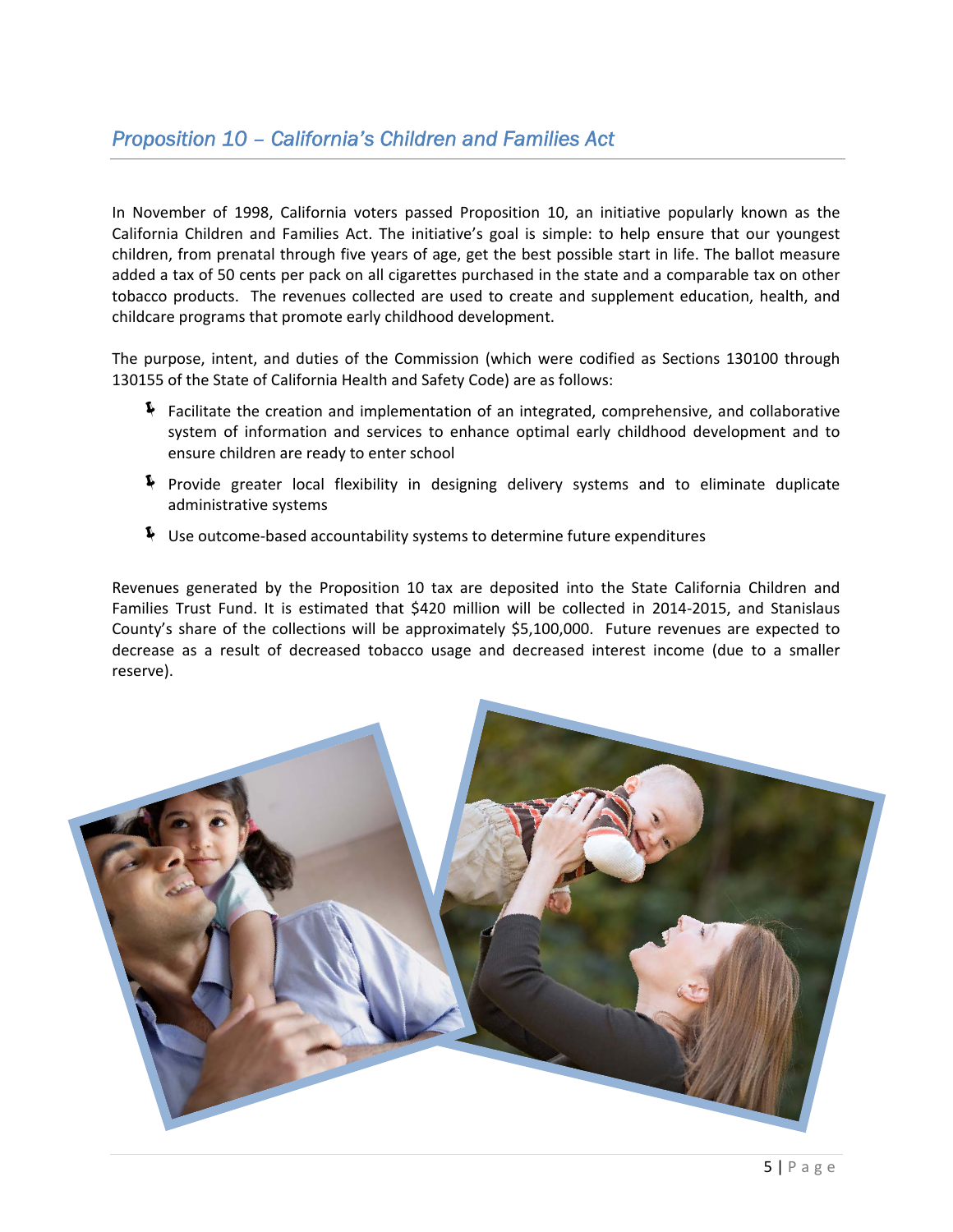In November of 1998, California voters passed Proposition 10, an initiative popularly known as the California Children and Families Act. The initiative's goal is simple: to help ensure that our youngest children, from prenatal through five years of age, get the best possible start in life. The ballot measure added a tax of 50 cents per pack on all cigarettes purchased in the state and a comparable tax on other tobacco products. The revenues collected are used to create and supplement education, health, and childcare programs that promote early childhood development.

The purpose, intent, and duties of the Commission (which were codified as Sections 130100 through 130155 of the State of California Health and Safety Code) are as follows:

- $\blacklozenge$  Facilitate the creation and implementation of an integrated, comprehensive, and collaborative system of information and services to enhance optimal early childhood development and to ensure children are ready to enter school
- $\blacklozenge$  Provide greater local flexibility in designing delivery systems and to eliminate duplicate administrative systems
- $\blacktriangleright$  Use outcome-based accountability systems to determine future expenditures

Revenues generated by the Proposition 10 tax are deposited into the State California Children and Families Trust Fund. It is estimated that \$420 million will be collected in 2014‐2015, and Stanislaus County's share of the collections will be approximately \$5,100,000. Future revenues are expected to decrease as a result of decreased tobacco usage and decreased interest income (due to a smaller reserve).

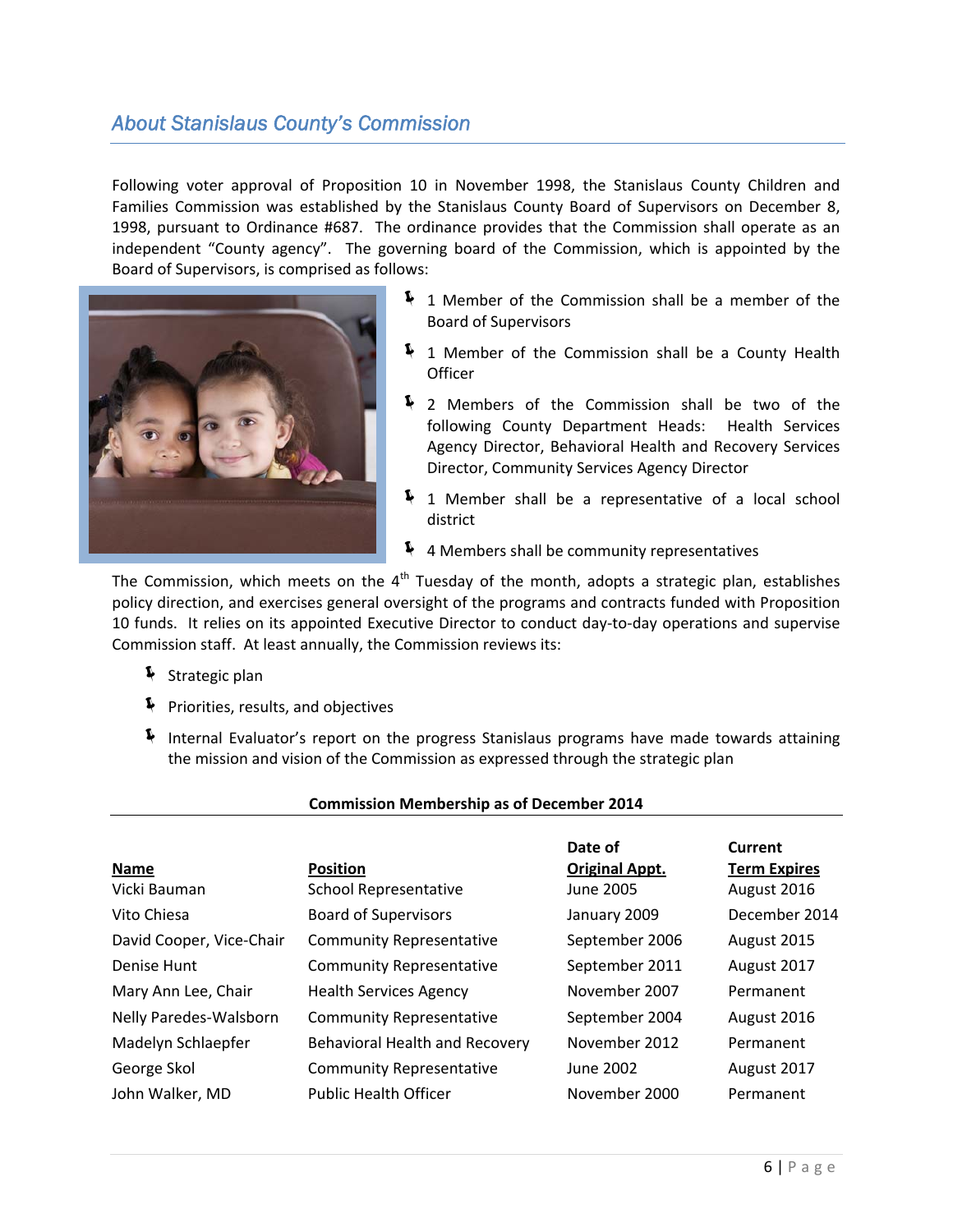# *About Stanislaus County's Commission*

Following voter approval of Proposition 10 in November 1998, the Stanislaus County Children and Families Commission was established by the Stanislaus County Board of Supervisors on December 8, 1998, pursuant to Ordinance #687. The ordinance provides that the Commission shall operate as an independent "County agency". The governing board of the Commission, which is appointed by the Board of Supervisors, is comprised as follows:



- $\frac{1}{2}$  1 Member of the Commission shall be a member of the Board of Supervisors
- $\frac{1}{2}$  1 Member of the Commission shall be a County Health **Officer**
- $\clubsuit$  2 Members of the Commission shall be two of the following County Department Heads: Health Services Agency Director, Behavioral Health and Recovery Services Director, Community Services Agency Director
- $\frac{1}{2}$  1 Member shall be a representative of a local school district
- $\blacklozenge$  4 Members shall be community representatives

The Commission, which meets on the  $4<sup>th</sup>$  Tuesday of the month, adopts a strategic plan, establishes policy direction, and exercises general oversight of the programs and contracts funded with Proposition 10 funds. It relies on its appointed Executive Director to conduct day-to-day operations and supervise Commission staff. At least annually, the Commission reviews its:

- $\blacklozenge$  Strategic plan
- **F** Priorities, results, and objectives
- Í Internal Evaluator's report on the progress Stanislaus programs have made towards attaining the mission and vision of the Commission as expressed through the strategic plan

#### **Commission Membership as of December 2014**

|                          |                                       | Date of               | Current             |
|--------------------------|---------------------------------------|-----------------------|---------------------|
| Name                     | <b>Position</b>                       | <b>Original Appt.</b> | <b>Term Expires</b> |
| Vicki Bauman             | <b>School Representative</b>          | <b>June 2005</b>      | August 2016         |
| Vito Chiesa              | <b>Board of Supervisors</b>           | January 2009          | December 2014       |
| David Cooper, Vice-Chair | <b>Community Representative</b>       | September 2006        | August 2015         |
| Denise Hunt              | <b>Community Representative</b>       | September 2011        | August 2017         |
| Mary Ann Lee, Chair      | <b>Health Services Agency</b>         | November 2007         | Permanent           |
| Nelly Paredes-Walsborn   | <b>Community Representative</b>       | September 2004        | August 2016         |
| Madelyn Schlaepfer       | <b>Behavioral Health and Recovery</b> | November 2012         | Permanent           |
| George Skol              | <b>Community Representative</b>       | June 2002             | August 2017         |
| John Walker, MD          | <b>Public Health Officer</b>          | November 2000         | Permanent           |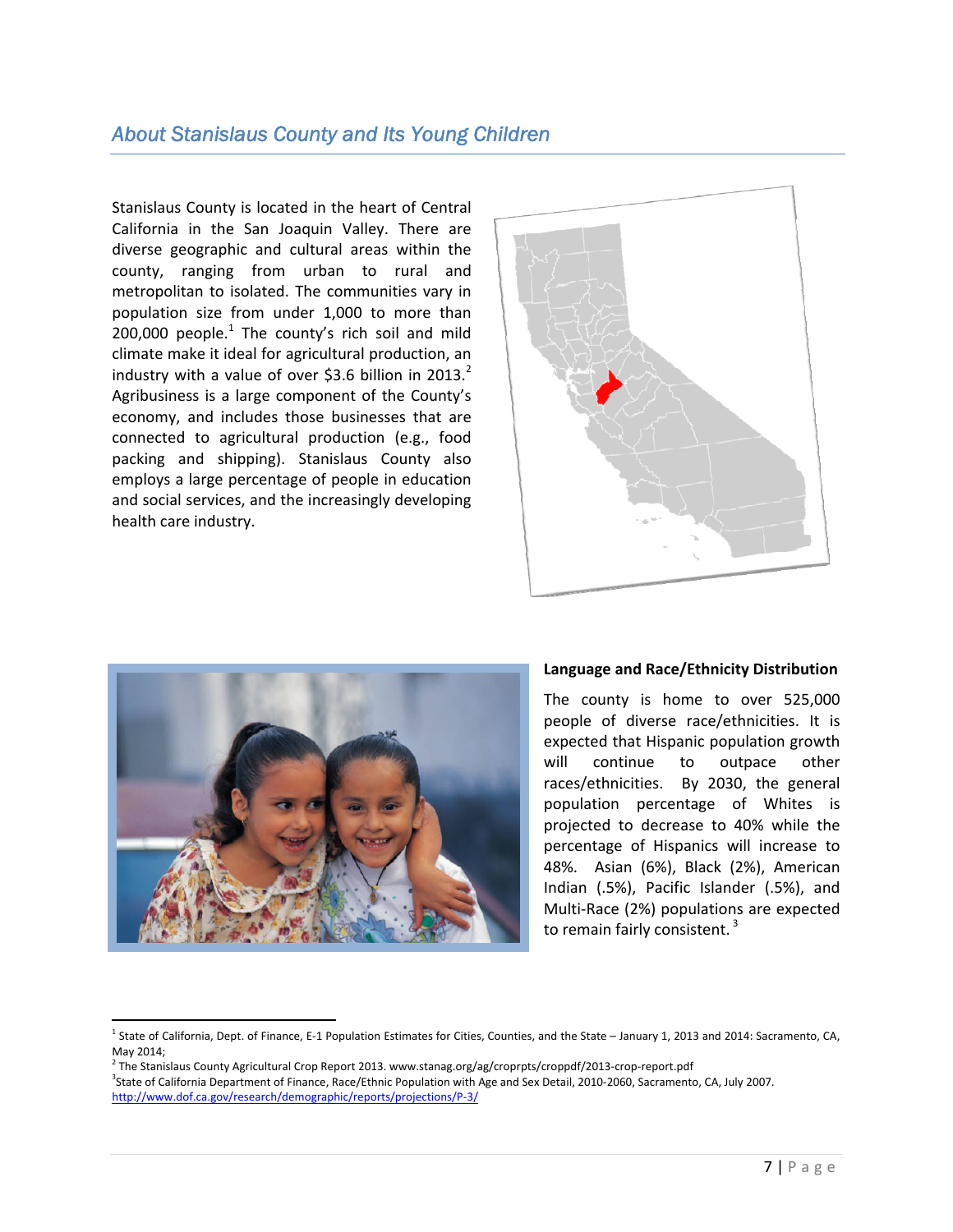# *About Stanislaus County and Its Young Children*

Stanislaus County is located in the heart of Central California in the San Joaquin Valley. There are diverse geographic and cultural areas within the county, ranging from urban to rural and metropolitan to isolated. The communities vary in population size from under 1,000 to more than 200,000 people. $1$  The county's rich soil and mild climate make it ideal for agricultural production, an industry with a value of over \$3.6 billion in 2013.<sup>2</sup> Agribusiness is a large component of the County's economy, and includes those businesses that are connected to agricultural production (e.g., food packing and shipping). Stanislaus County also employs a large percentage of people in education and social services, and the increasingly developing health care industry.





 $\overline{a}$ 

#### **Language and Race/Ethnicity Distribution**

The county is home to over 525,000 people of diverse race/ethnicities. It is expected that Hispanic population growth will continue to outpace other races/ethnicities. By 2030, the general population percentage of Whites is projected to decrease to 40% while the percentage of Hispanics will increase to 48%. Asian (6%), Black (2%), American Indian (.5%), Pacific Islander (.5%), and Multi‐Race (2%) populations are expected to remain fairly consistent. <sup>3</sup>

<sup>&</sup>lt;sup>1</sup> State of California, Dept. of Finance, E-1 Population Estimates for Cities, Counties, and the State – January 1, 2013 and 2014: Sacramento, CA, May 2014;

 $^2$  The Stanislaus County Agricultural Crop Report 2013. www.stanag.org/ag/croprpts/croppdf/2013-crop-report.pdf 3 State of California Department of Finance, Race/Ethnic Population with Age and Sex Detail, 2010‐2060, Sacramento, CA, July 2007. http://www.dof.ca.gov/research/demographic/reports/projections/P‐3/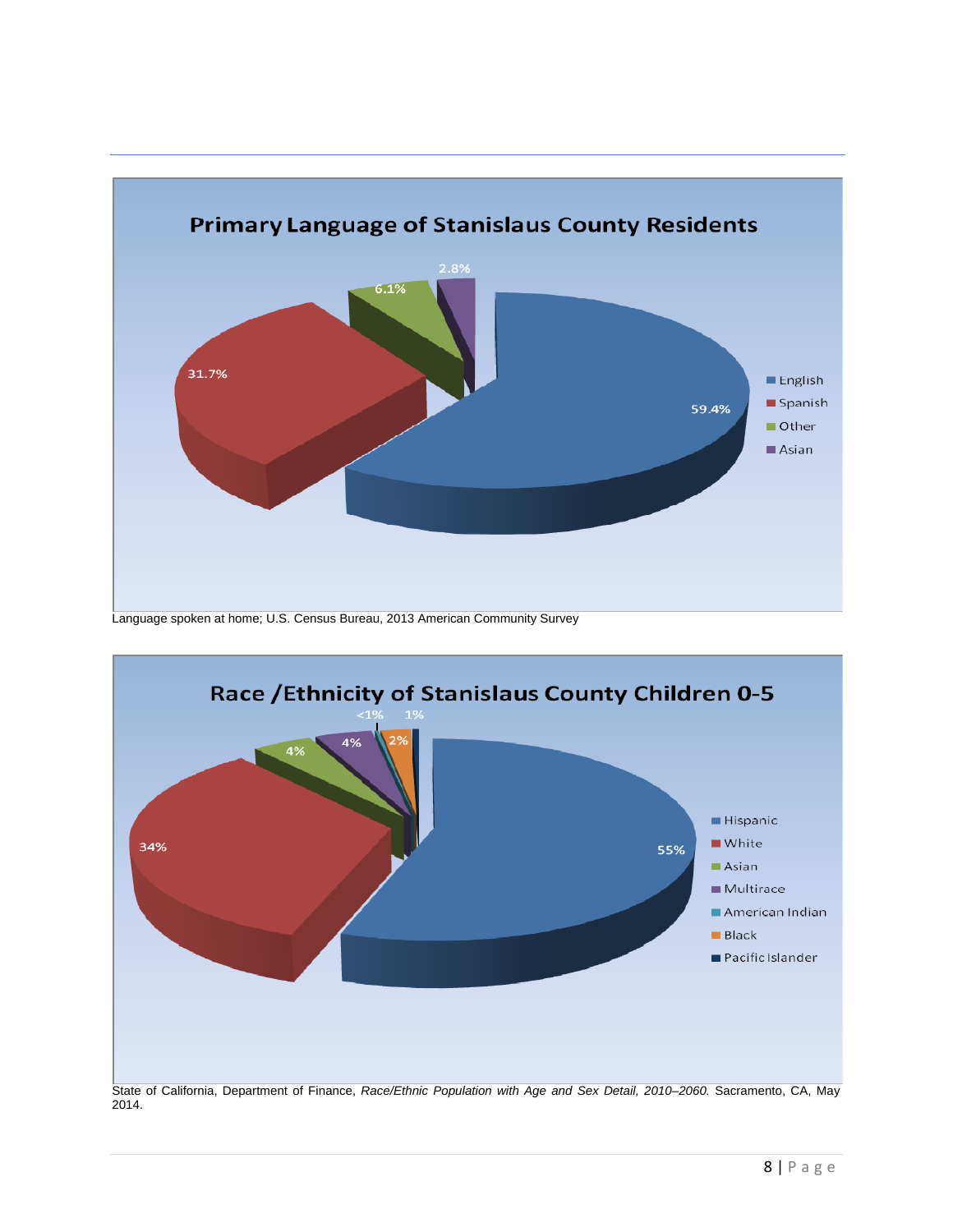

Language spoken at home; U.S. Census Bureau, 2013 American Community Survey



State of California, Department of Finance, *Race/Ethnic Population with Age and Sex Detail, 2010–2060.* Sacramento, CA, May 2014.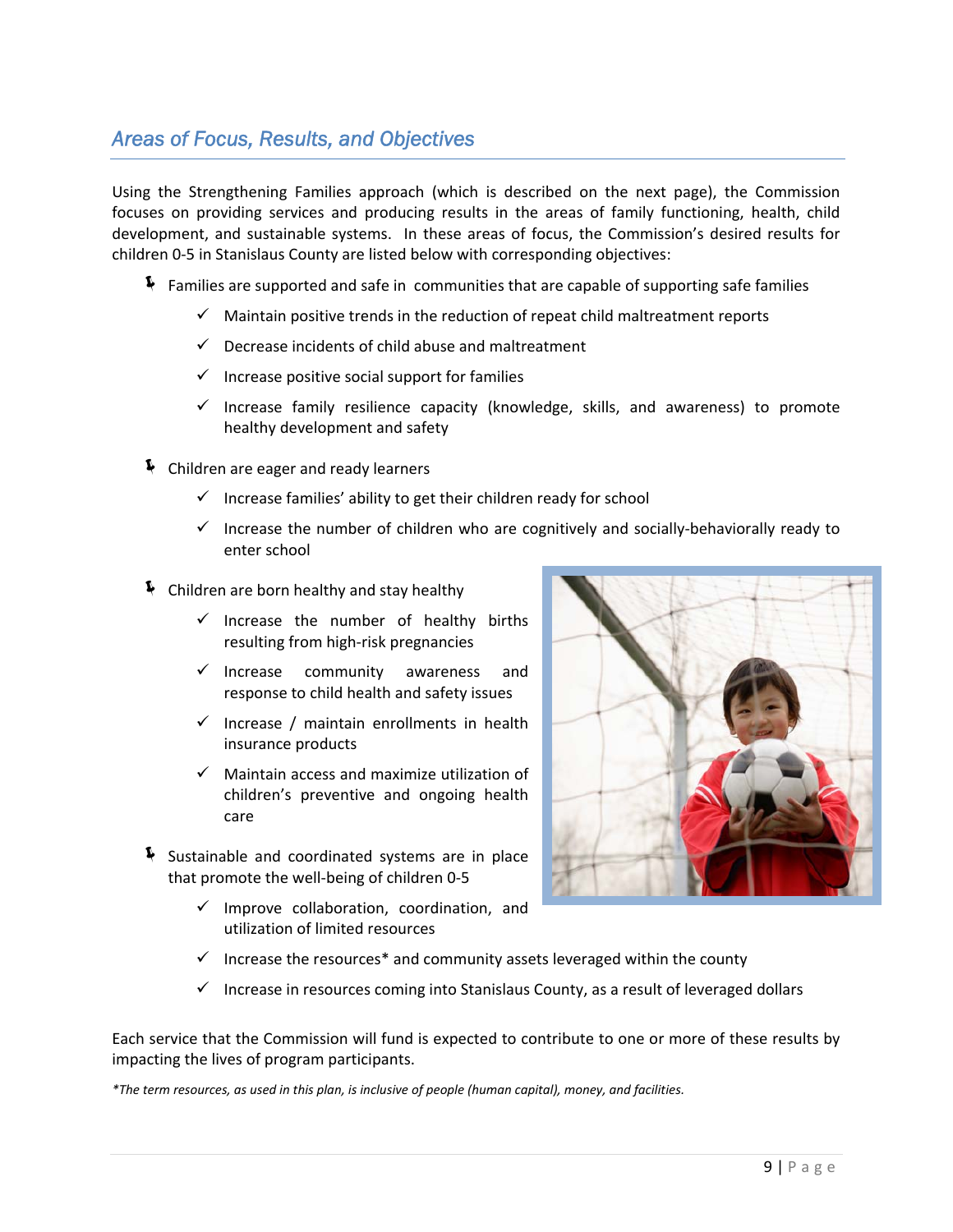# *Areas of Focus, Results, and Objectives*

Using the Strengthening Families approach (which is described on the next page), the Commission focuses on providing services and producing results in the areas of family functioning, health, child development, and sustainable systems. In these areas of focus, the Commission's desired results for children 0‐5 in Stanislaus County are listed below with corresponding objectives:

- Families are supported and safe in communities that are capable of supporting safe families
	- $\checkmark$  Maintain positive trends in the reduction of repeat child maltreatment reports
	- $\checkmark$  Decrease incidents of child abuse and maltreatment
	- $\checkmark$  Increase positive social support for families
	- $\checkmark$  Increase family resilience capacity (knowledge, skills, and awareness) to promote healthy development and safety
- $\blacklozenge$  Children are eager and ready learners
	- $\checkmark$  Increase families' ability to get their children ready for school
	- $\checkmark$  Increase the number of children who are cognitively and socially-behaviorally ready to enter school
- $\blacklozenge$  Children are born healthy and stay healthy
	- $\checkmark$  Increase the number of healthy births resulting from high‐risk pregnancies
	- $\checkmark$  Increase community awareness and response to child health and safety issues
	- $\checkmark$  Increase / maintain enrollments in health insurance products
	- $\checkmark$  Maintain access and maximize utilization of children's preventive and ongoing health care
- $\blacklozenge$  Sustainable and coordinated systems are in place that promote the well‐being of children 0‐5
	- $\checkmark$  Improve collaboration, coordination, and utilization of limited resources



- $\checkmark$  Increase the resources\* and community assets leveraged within the county
- $\checkmark$  Increase in resources coming into Stanislaus County, as a result of leveraged dollars

Each service that the Commission will fund is expected to contribute to one or more of these results by impacting the lives of program participants.

\*The term resources, as used in this plan, is inclusive of people (human capital), money, and facilities.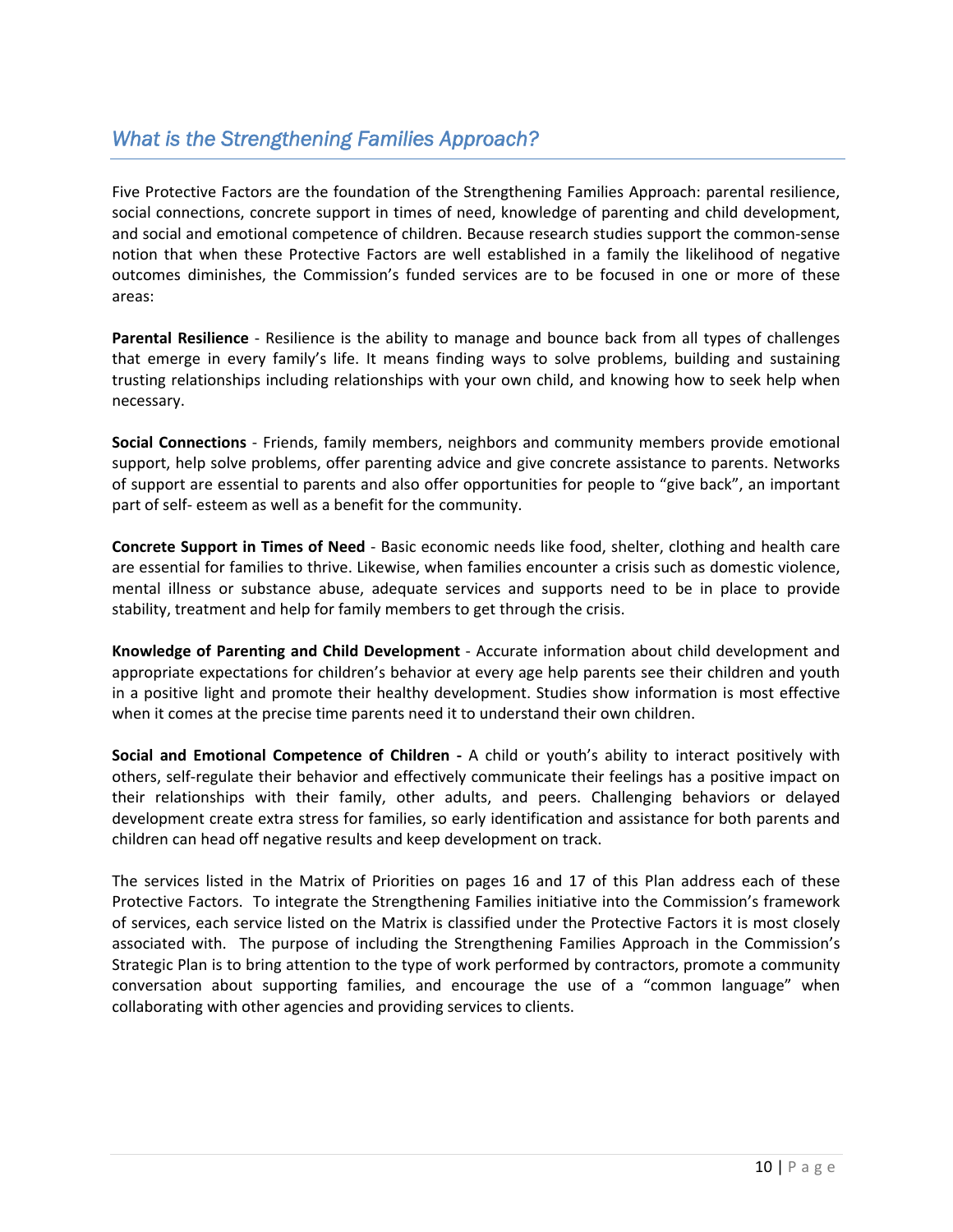# *What is the Strengthening Families Approach?*

Five Protective Factors are the foundation of the Strengthening Families Approach: parental resilience, social connections, concrete support in times of need, knowledge of parenting and child development, and social and emotional competence of children. Because research studies support the common‐sense notion that when these Protective Factors are well established in a family the likelihood of negative outcomes diminishes, the Commission's funded services are to be focused in one or more of these areas:

**Parental Resilience** ‐ Resilience is the ability to manage and bounce back from all types of challenges that emerge in every family's life. It means finding ways to solve problems, building and sustaining trusting relationships including relationships with your own child, and knowing how to seek help when necessary.

**Social Connections** ‐ Friends, family members, neighbors and community members provide emotional support, help solve problems, offer parenting advice and give concrete assistance to parents. Networks of support are essential to parents and also offer opportunities for people to "give back", an important part of self‐ esteem as well as a benefit for the community.

**Concrete Support in Times of Need** ‐ Basic economic needs like food, shelter, clothing and health care are essential for families to thrive. Likewise, when families encounter a crisis such as domestic violence, mental illness or substance abuse, adequate services and supports need to be in place to provide stability, treatment and help for family members to get through the crisis.

**Knowledge of Parenting and Child Development** ‐ Accurate information about child development and appropriate expectations for children's behavior at every age help parents see their children and youth in a positive light and promote their healthy development. Studies show information is most effective when it comes at the precise time parents need it to understand their own children.

**Social and Emotional Competence of Children ‐**  A child or youth's ability to interact positively with others, self‐regulate their behavior and effectively communicate their feelings has a positive impact on their relationships with their family, other adults, and peers. Challenging behaviors or delayed development create extra stress for families, so early identification and assistance for both parents and children can head off negative results and keep development on track.

The services listed in the Matrix of Priorities on pages 16 and 17 of this Plan address each of these Protective Factors. To integrate the Strengthening Families initiative into the Commission's framework of services, each service listed on the Matrix is classified under the Protective Factors it is most closely associated with. The purpose of including the Strengthening Families Approach in the Commission's Strategic Plan is to bring attention to the type of work performed by contractors, promote a community conversation about supporting families, and encourage the use of a "common language" when collaborating with other agencies and providing services to clients.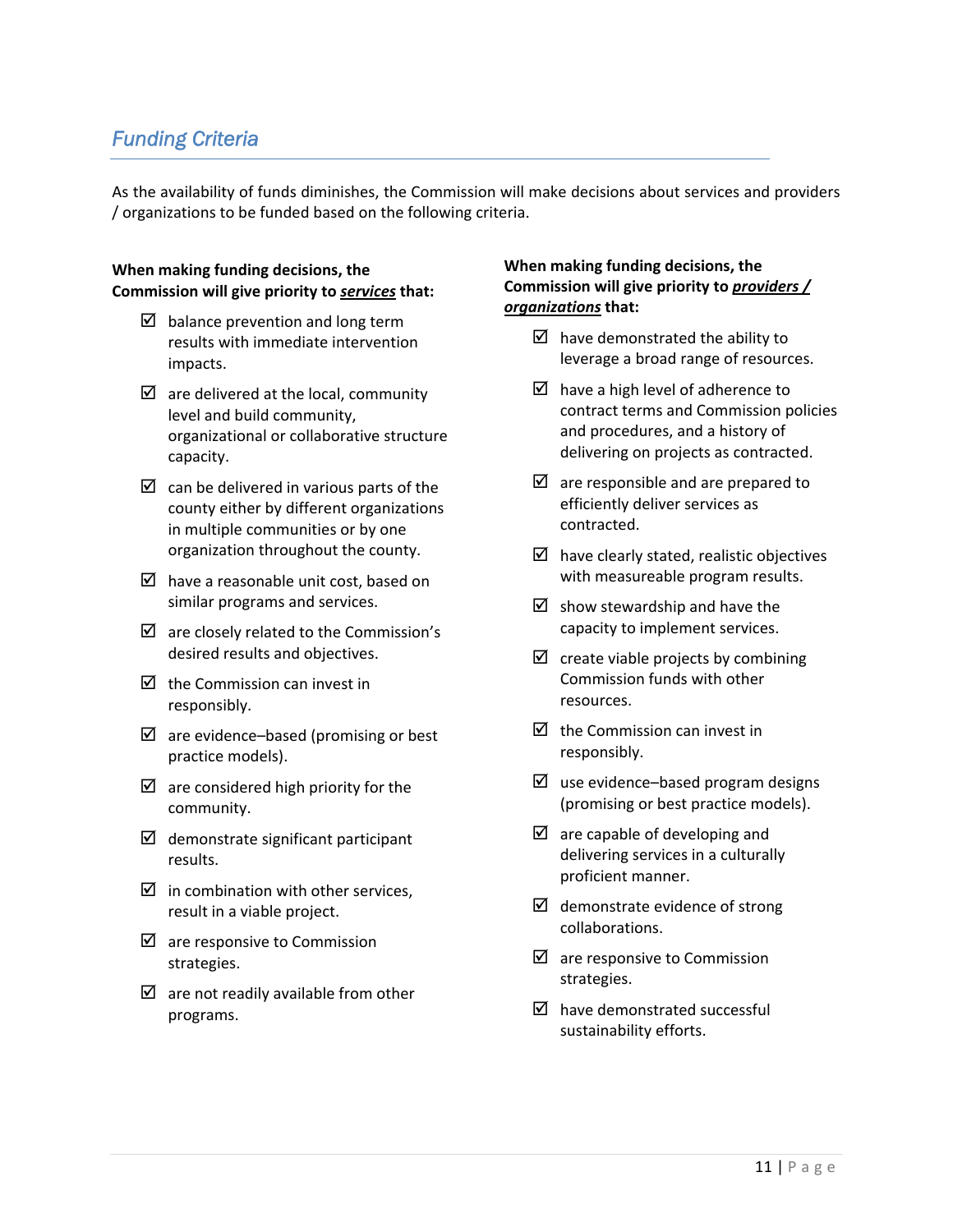# *Funding Criteria*

As the availability of funds diminishes, the Commission will make decisions about services and providers / organizations to be funded based on the following criteria.

#### **When making funding decisions, the Commission will give priority to** *services* **that:**

- $\boxtimes$  balance prevention and long term results with immediate intervention impacts.
- $\triangledown$  are delivered at the local, community level and build community, organizational or collaborative structure capacity.
- $\boxtimes$  can be delivered in various parts of the county either by different organizations in multiple communities or by one organization throughout the county.
- $\boxtimes$  have a reasonable unit cost, based on similar programs and services.
- $\boxtimes$  are closely related to the Commission's desired results and objectives.
- $\boxtimes$  the Commission can invest in responsibly.
- $\boxtimes$  are evidence–based (promising or best practice models).
- $\boxtimes$  are considered high priority for the community.
- $\boxtimes$  demonstrate significant participant results.
- $\boxtimes$  in combination with other services, result in a viable project.
- $\boxtimes$  are responsive to Commission strategies.
- $\boxtimes$  are not readily available from other programs.

#### **When making funding decisions, the Commission will give priority to** *providers / organizations* **that:**

- $\boxtimes$  have demonstrated the ability to leverage a broad range of resources.
- $\boxtimes$  have a high level of adherence to contract terms and Commission policies and procedures, and a history of delivering on projects as contracted.
- $\boxtimes$  are responsible and are prepared to efficiently deliver services as contracted.
- $\boxtimes$  have clearly stated, realistic objectives with measureable program results.
- $\boxtimes$  show stewardship and have the capacity to implement services.
- $\boxtimes$  create viable projects by combining Commission funds with other resources.
- $\triangledown$  the Commission can invest in responsibly.
- $\boxtimes$  use evidence–based program designs (promising or best practice models).
- $\boxtimes$  are capable of developing and delivering services in a culturally proficient manner.
- $\boxtimes$  demonstrate evidence of strong collaborations.
- $\boxtimes$  are responsive to Commission strategies.
- $\boxtimes$  have demonstrated successful sustainability efforts.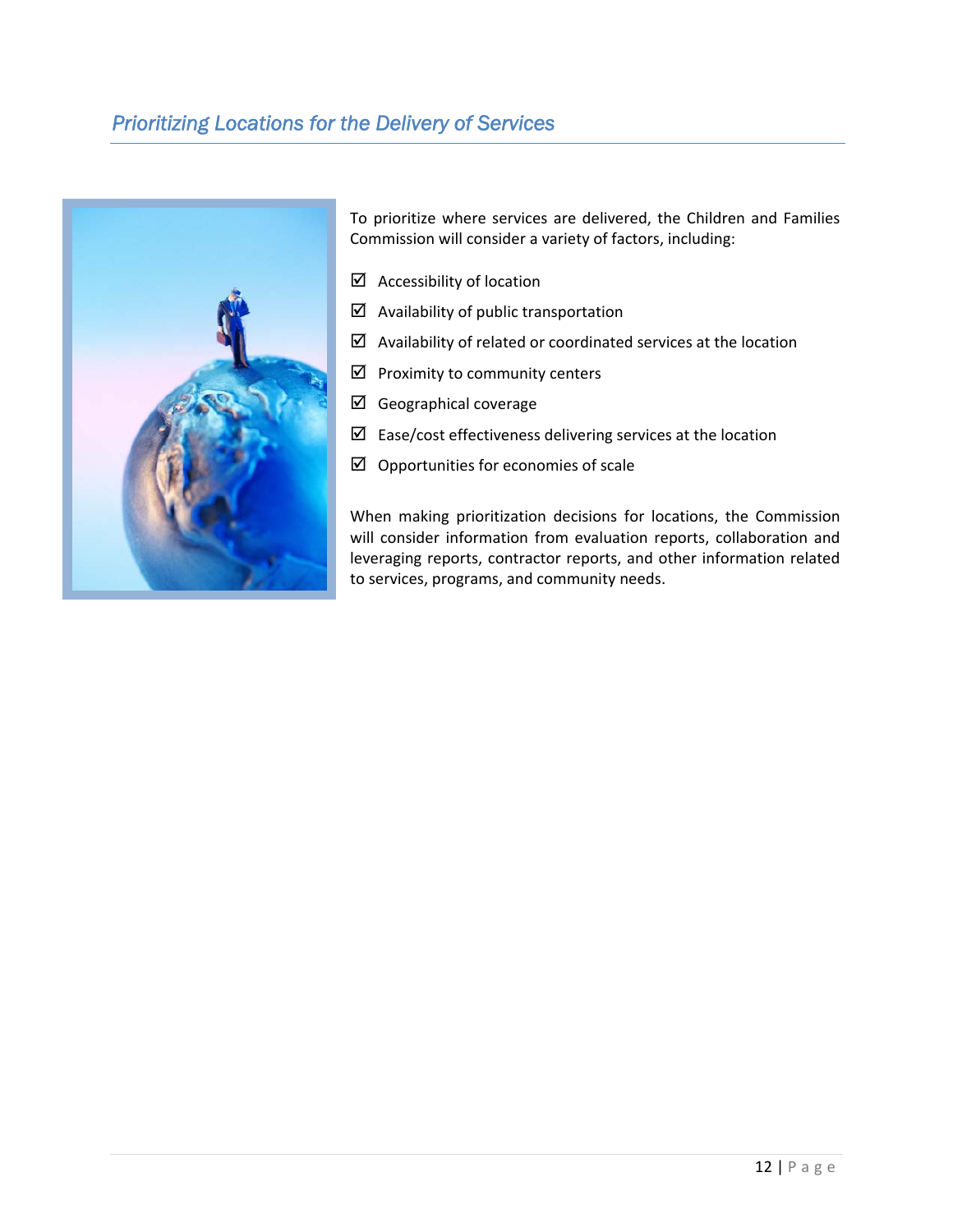# *Prioritizing Locations for the Delivery of Services*



To prioritize where services are delivered, the Children and Families Commission will consider a variety of factors, including:

- $\boxtimes$  Accessibility of location
- $\boxtimes$  Availability of public transportation
- $\boxtimes$  Availability of related or coordinated services at the location
- $\boxtimes$  Proximity to community centers
- $\boxtimes$  Geographical coverage
- $\boxtimes$  Ease/cost effectiveness delivering services at the location
- $\boxtimes$  Opportunities for economies of scale

When making prioritization decisions for locations, the Commission will consider information from evaluation reports, collaboration and leveraging reports, contractor reports, and other information related to services, programs, and community needs.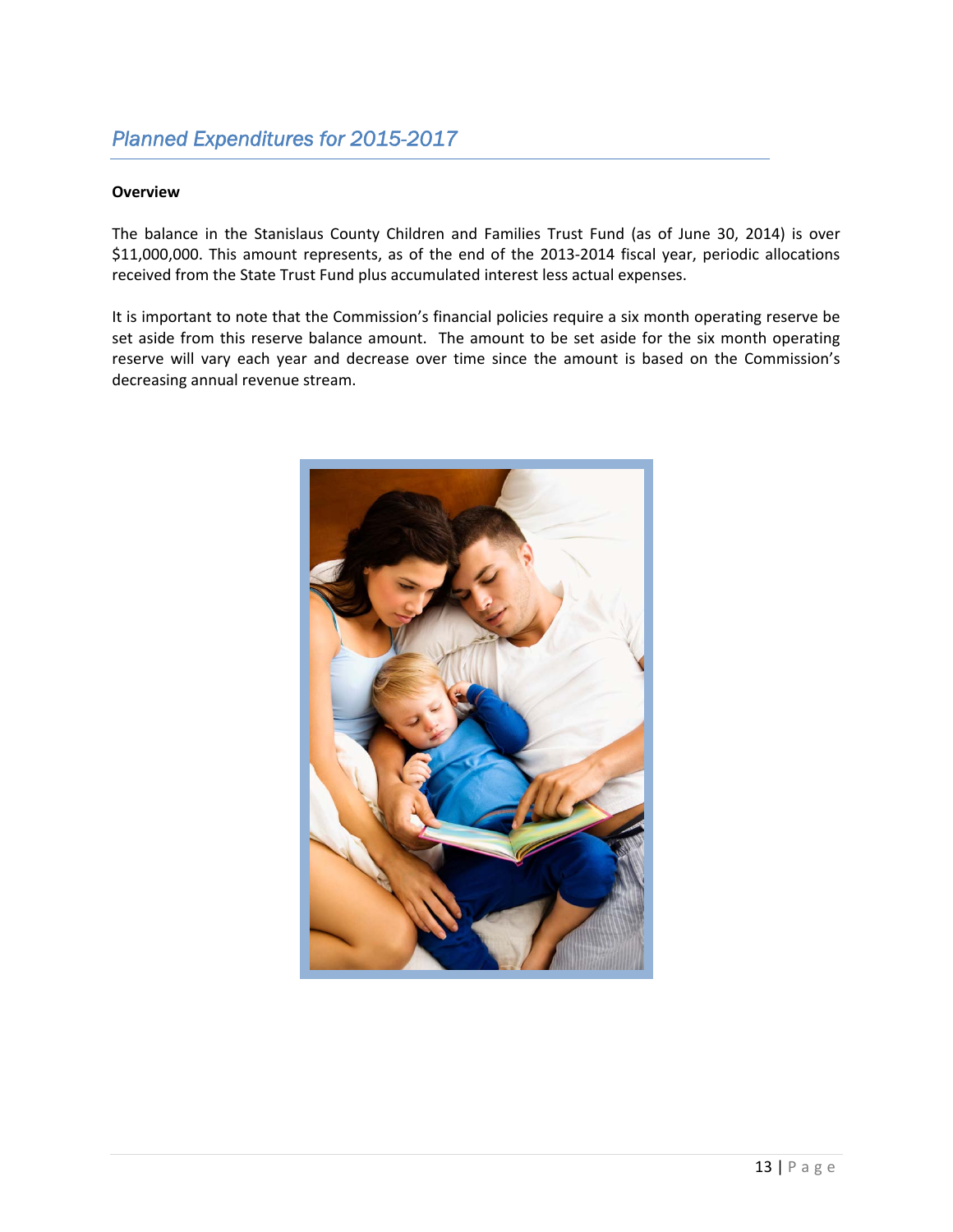# *Planned Expenditures for 2015-2017*

#### **Overview**

The balance in the Stanislaus County Children and Families Trust Fund (as of June 30, 2014) is over \$11,000,000. This amount represents, as of the end of the 2013‐2014 fiscal year, periodic allocations received from the State Trust Fund plus accumulated interest less actual expenses.

It is important to note that the Commission's financial policies require a six month operating reserve be set aside from this reserve balance amount. The amount to be set aside for the six month operating reserve will vary each year and decrease over time since the amount is based on the Commission's decreasing annual revenue stream.

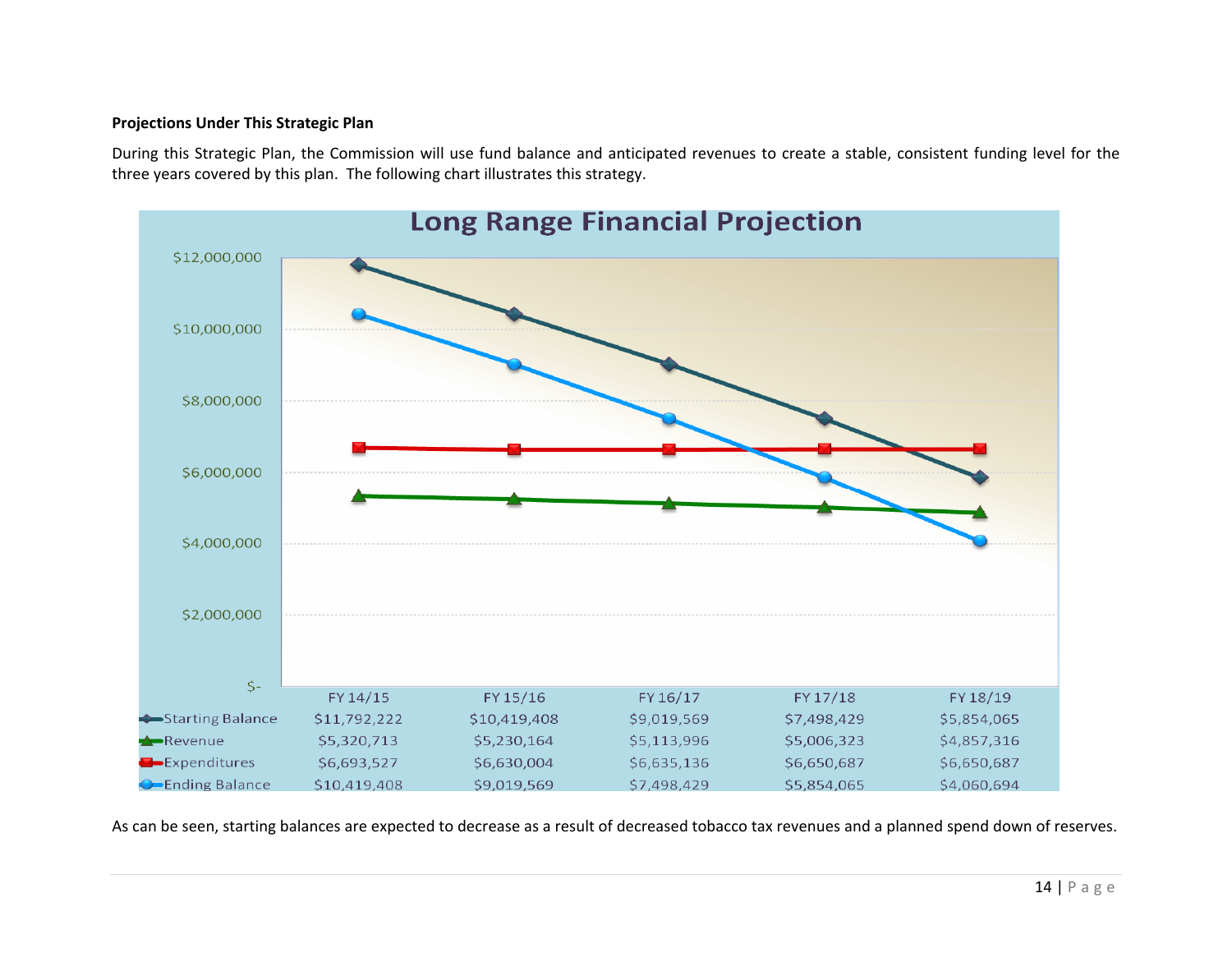#### **Projections Under This Strategic Plan**

During this Strategic Plan, the Commission will use fund balance and anticipated revenues to create <sup>a</sup> stable, consistent funding level for the three years covered by this plan. The following chart illustrates this strategy.



As can be seen, starting balances are expected to decrease as <sup>a</sup> result of decreased tobacco tax revenues and <sup>a</sup> planned spend down of reserves.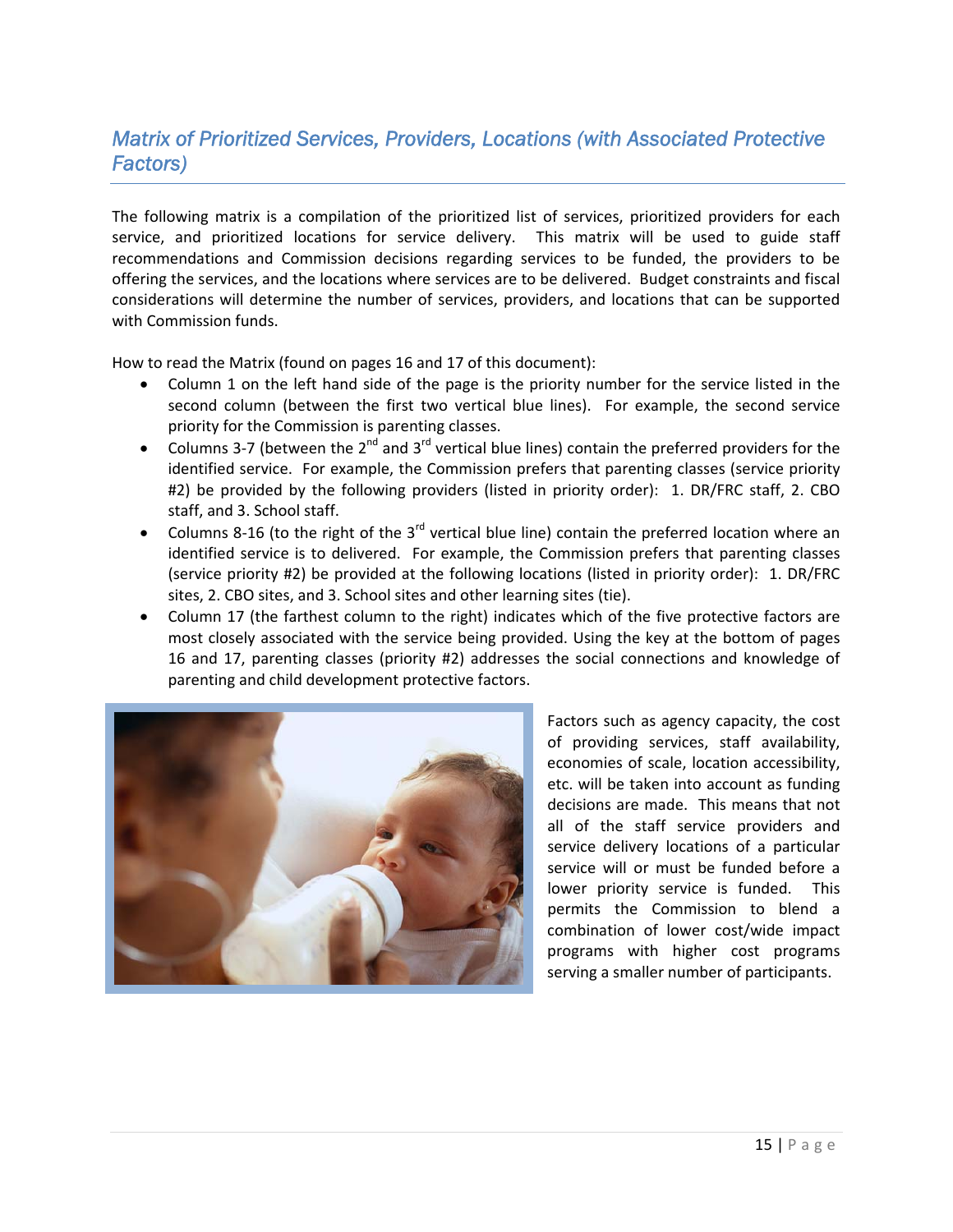# *Matrix of Prioritized Services, Providers, Locations (with Associated Protective Factors)*

The following matrix is a compilation of the prioritized list of services, prioritized providers for each service, and prioritized locations for service delivery. This matrix will be used to guide staff recommendations and Commission decisions regarding services to be funded, the providers to be offering the services, and the locations where services are to be delivered. Budget constraints and fiscal considerations will determine the number of services, providers, and locations that can be supported with Commission funds.

How to read the Matrix (found on pages 16 and 17 of this document):

- Column 1 on the left hand side of the page is the priority number for the service listed in the second column (between the first two vertical blue lines). For example, the second service priority for the Commission is parenting classes.
- Columns 3-7 (between the  $2^{nd}$  and  $3^{rd}$  vertical blue lines) contain the preferred providers for the identified service. For example, the Commission prefers that parenting classes (service priority #2) be provided by the following providers (listed in priority order): 1. DR/FRC staff, 2. CBO staff, and 3. School staff.
- Columns 8-16 (to the right of the  $3^{rd}$  vertical blue line) contain the preferred location where an identified service is to delivered. For example, the Commission prefers that parenting classes (service priority #2) be provided at the following locations (listed in priority order): 1. DR/FRC sites, 2. CBO sites, and 3. School sites and other learning sites (tie).
- Column 17 (the farthest column to the right) indicates which of the five protective factors are most closely associated with the service being provided. Using the key at the bottom of pages 16 and 17, parenting classes (priority #2) addresses the social connections and knowledge of parenting and child development protective factors.



Factors such as agency capacity, the cost of providing services, staff availability, economies of scale, location accessibility, etc. will be taken into account as funding decisions are made. This means that not all of the staff service providers and service delivery locations of a particular service will or must be funded before a lower priority service is funded. This permits the Commission to blend a combination of lower cost/wide impact programs with higher cost programs serving a smaller number of participants.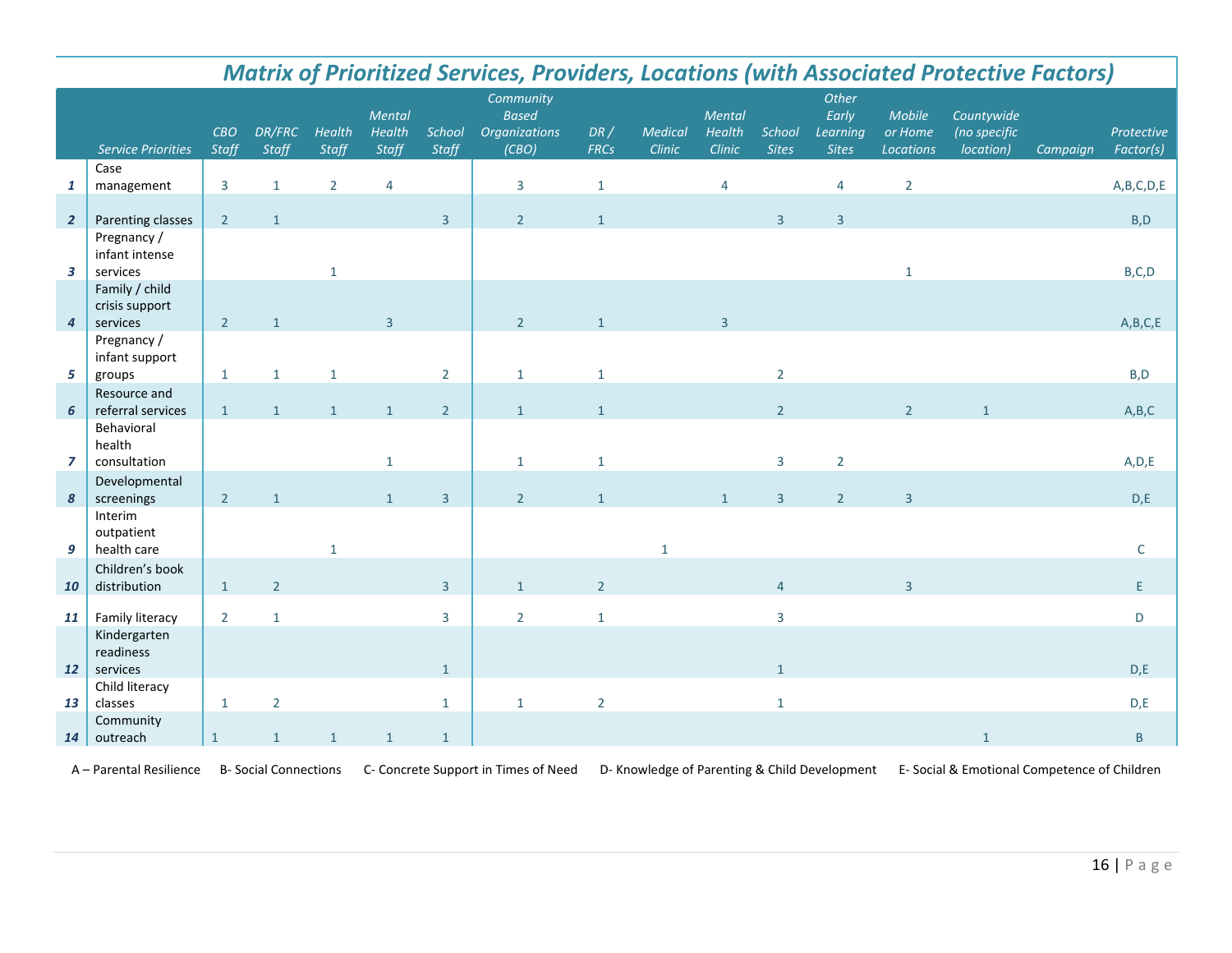|                         | <b>Matrix of Prioritized Services, Providers, Locations (with Associated Protective Factors)</b> |                |                 |                 |                           |                 |                                                            |                    |                   |                            |                        |                                            |                                       |                                         |          |                         |
|-------------------------|--------------------------------------------------------------------------------------------------|----------------|-----------------|-----------------|---------------------------|-----------------|------------------------------------------------------------|--------------------|-------------------|----------------------------|------------------------|--------------------------------------------|---------------------------------------|-----------------------------------------|----------|-------------------------|
|                         | Service Priorities                                                                               | CBO<br>Staff   | DR/FRC<br>Staff | Health<br>Staff | Mental<br>Health<br>Staff | School<br>Staff | Community<br><b>Based</b><br><b>Organizations</b><br>(CBO) | DR/<br><b>FRCs</b> | Medical<br>Clinic | Mental<br>Health<br>Clinic | School<br><b>Sites</b> | Other<br>Early<br>Learning<br><b>Sites</b> | Mobile<br>or Home<br><b>Locations</b> | Countywide<br>(no specific<br>location) | Campaign | Protective<br>Factor(s) |
| $\mathbf{1}$            | Case<br>management                                                                               | 3              | $\mathbf{1}$    | $\overline{2}$  | $\overline{4}$            |                 | $\overline{3}$                                             | $\mathbf{1}$       |                   | 4                          |                        | 4                                          | $\overline{2}$                        |                                         |          | A,B,C,D,E               |
| $\overline{2}$          | Parenting classes                                                                                | 2 <sup>1</sup> | $\mathbf{1}$    |                 |                           | $\overline{3}$  | 2 <sup>1</sup>                                             | $\mathbf{1}$       |                   |                            | $\overline{3}$         | $\overline{3}$                             |                                       |                                         |          | B, D                    |
| $\overline{\mathbf{3}}$ | Pregnancy /<br>infant intense<br>services                                                        |                |                 | $\mathbf{1}$    |                           |                 |                                                            |                    |                   |                            |                        |                                            | $\mathbf{1}$                          |                                         |          | B, C, D                 |
| $\overline{4}$          | Family / child<br>crisis support<br>services                                                     | $2^{\circ}$    | $\mathbf{1}$    |                 | $\overline{3}$            |                 | 2 <sup>1</sup>                                             | $\mathbf{1}$       |                   | $\overline{3}$             |                        |                                            |                                       |                                         |          | A,B,C,E                 |
| 5                       | Pregnancy /<br>infant support<br>groups                                                          | $\mathbf{1}$   | $\mathbf{1}$    | $\mathbf{1}$    |                           | $\overline{2}$  | $\mathbf{1}$                                               | $\mathbf{1}$       |                   |                            | $\overline{2}$         |                                            |                                       |                                         |          | B, D                    |
| 6                       | Resource and<br>referral services                                                                | $\mathbf{1}$   | $\mathbf{1}$    | $\mathbf{1}$    | $\mathbf{1}$              | 2 <sup>1</sup>  | $\mathbf{1}$                                               | $\mathbf{1}$       |                   |                            | $\overline{2}$         |                                            | 2 <sup>1</sup>                        | $\mathbf{1}$                            |          | A,B,C                   |
| $\overline{z}$          | Behavioral<br>health<br>consultation                                                             |                |                 |                 | $\mathbf{1}$              |                 | $\mathbf{1}$                                               | $\mathbf{1}$       |                   |                            | $\overline{3}$         | $\overline{2}$                             |                                       |                                         |          | A, D, E                 |
| 8                       | Developmental<br>screenings                                                                      | $2^{\circ}$    | $\mathbf{1}$    |                 | $\mathbf{1}$              | $\overline{3}$  | $\overline{2}$                                             | $\mathbf{1}$       |                   | $\mathbf{1}$               | $\overline{3}$         | $\overline{2}$                             | $\overline{3}$                        |                                         |          | D,E                     |
| 9                       | Interim<br>outpatient<br>health care                                                             |                |                 | $\mathbf{1}$    |                           |                 |                                                            |                    | $\mathbf{1}$      |                            |                        |                                            |                                       |                                         |          | C                       |
| 10                      | Children's book<br>distribution                                                                  | $\mathbf{1}$   | $\overline{2}$  |                 |                           | $\overline{3}$  | $\mathbf{1}$                                               | $\overline{2}$     |                   |                            | $\overline{4}$         |                                            | $\overline{3}$                        |                                         |          | F                       |
| 11                      | Family literacy<br>Kindergarten                                                                  | $\overline{2}$ | $\mathbf{1}$    |                 |                           | $\overline{3}$  | $2^{\circ}$                                                | $\mathbf{1}$       |                   |                            | $\overline{3}$         |                                            |                                       |                                         |          | D                       |
| <b>12</b>               | readiness<br>services<br>Child literacy                                                          |                |                 |                 |                           | $\mathbf{1}$    |                                                            |                    |                   |                            | $\mathbf{1}$           |                                            |                                       |                                         |          | D,E                     |
| 13                      | classes                                                                                          | $\mathbf{1}$   | $\overline{2}$  |                 |                           | $\mathbf{1}$    | $\mathbf{1}$                                               | $\overline{2}$     |                   |                            | $\mathbf{1}$           |                                            |                                       |                                         |          | D,E                     |
| 14                      | Community<br>outreach                                                                            | $\mathbf{1}$   | $\mathbf{1}$    | $\mathbf{1}$    | $\mathbf{1}$              | $\mathbf{1}$    |                                                            |                    |                   |                            |                        |                                            |                                       | $\mathbf{1}$                            |          | $\mathsf B$             |

A – Parental Resilience B- Social Connections C- Concrete Support in Times of Need D- Knowledge of Parenting & Child Development E- Social & Emotional Competence of Children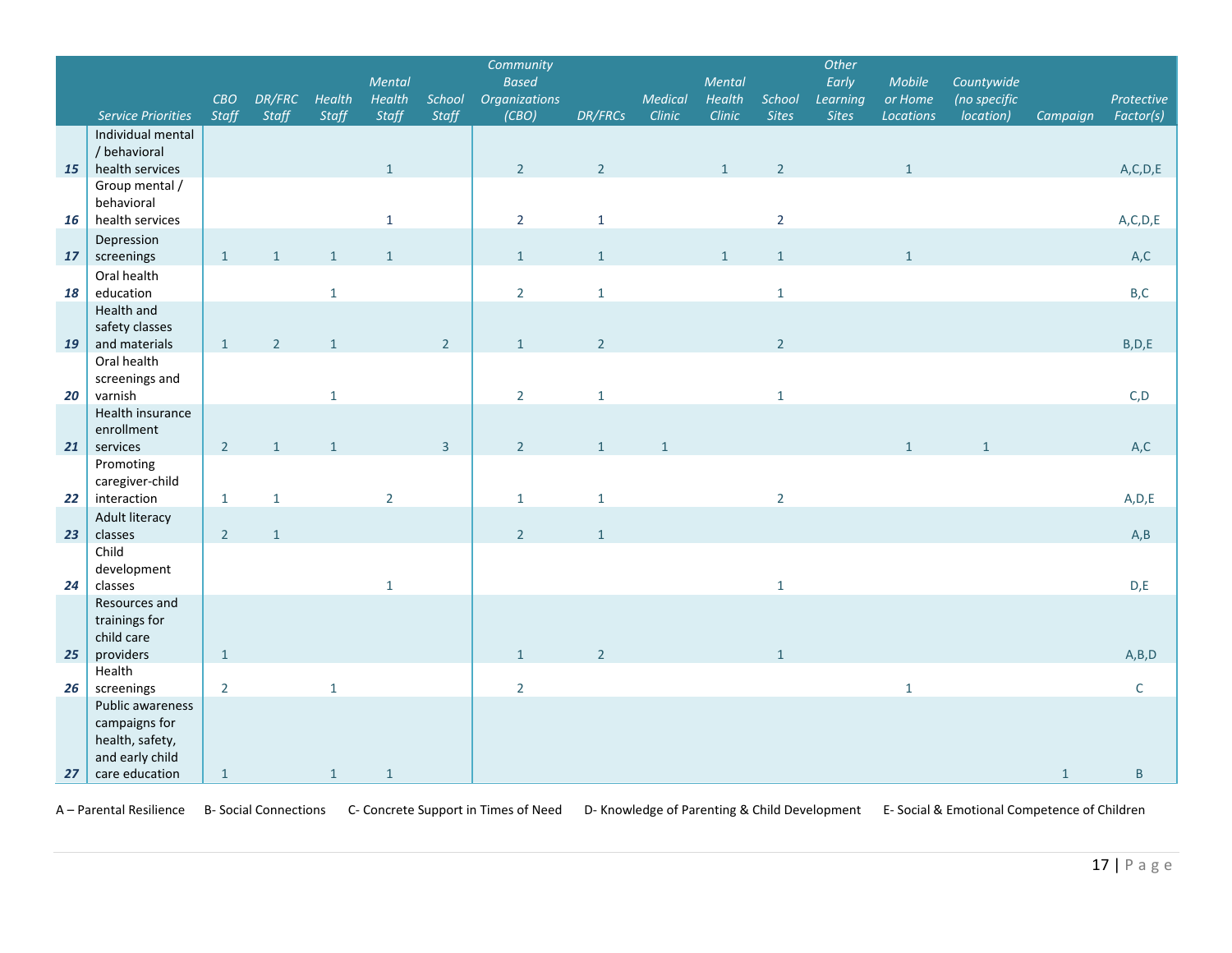|    |                                |                     |                 |                 | Mental          |                 | Community<br><b>Based</b>     |                |                   | Mental           |                        | Other<br>Early           | Mobile               | Countywide                |              |                                               |
|----|--------------------------------|---------------------|-----------------|-----------------|-----------------|-----------------|-------------------------------|----------------|-------------------|------------------|------------------------|--------------------------|----------------------|---------------------------|--------------|-----------------------------------------------|
|    | <b>Service Priorities</b>      | CBO<br><b>Staff</b> | DR/FRC<br>Staff | Health<br>Staff | Health<br>Staff | School<br>Staff | <b>Organizations</b><br>(CBO) | DR/FRCs        | Medical<br>Clinic | Health<br>Clinic | School<br><b>Sites</b> | Learning<br><b>Sites</b> | or Home<br>Locations | (no specific<br>location) | Campaign     | Protective<br>Factor(s)                       |
|    | Individual mental              |                     |                 |                 |                 |                 |                               |                |                   |                  |                        |                          |                      |                           |              |                                               |
|    | / behavioral                   |                     |                 |                 |                 |                 |                               |                |                   |                  |                        |                          |                      |                           |              |                                               |
| 15 | health services                |                     |                 |                 | $\mathbf{1}$    |                 | $2^{\circ}$                   | $\overline{2}$ |                   | $\mathbf{1}$     | $\overline{2}$         |                          | $\mathbf{1}$         |                           |              | A, C, D, E                                    |
|    | Group mental /                 |                     |                 |                 |                 |                 |                               |                |                   |                  |                        |                          |                      |                           |              |                                               |
|    | behavioral                     |                     |                 |                 |                 |                 |                               |                |                   |                  |                        |                          |                      |                           |              |                                               |
| 16 | health services                |                     |                 |                 | $\mathbf{1}$    |                 | $\overline{2}$                | $\mathbf 1$    |                   |                  | $\overline{2}$         |                          |                      |                           |              | $\mathsf{A},\mathsf{C},\mathsf{D},\mathsf{E}$ |
|    | Depression                     |                     |                 |                 |                 |                 |                               |                |                   |                  |                        |                          |                      |                           |              |                                               |
| 17 | screenings                     | $\mathbf{1}$        | $\mathbf{1}$    | $\mathbf{1}$    | $\mathbf{1}$    |                 | $\mathbf{1}$                  | $\mathbf{1}$   |                   | $\mathbf{1}$     | $\mathbf{1}$           |                          | $\mathbf{1}$         |                           |              | A,C                                           |
| 18 | Oral health<br>education       |                     |                 |                 |                 |                 | $\overline{2}$                |                |                   |                  |                        |                          |                      |                           |              | B,C                                           |
|    | Health and                     |                     |                 | $\mathbf{1}$    |                 |                 |                               | $\mathbf{1}$   |                   |                  | $\mathbf 1$            |                          |                      |                           |              |                                               |
|    | safety classes                 |                     |                 |                 |                 |                 |                               |                |                   |                  |                        |                          |                      |                           |              |                                               |
| 19 | and materials                  | $\mathbf{1}$        | $\overline{2}$  | $\mathbf{1}$    |                 | 2 <sup>1</sup>  | $\mathbf{1}$                  | $\overline{2}$ |                   |                  | $\overline{2}$         |                          |                      |                           |              | B, D, E                                       |
|    | Oral health                    |                     |                 |                 |                 |                 |                               |                |                   |                  |                        |                          |                      |                           |              |                                               |
|    | screenings and                 |                     |                 |                 |                 |                 |                               |                |                   |                  |                        |                          |                      |                           |              |                                               |
| 20 | varnish                        |                     |                 | $\mathbf{1}$    |                 |                 | $\overline{2}$                | $\mathbf{1}$   |                   |                  | $\mathbf{1}$           |                          |                      |                           |              | C, D                                          |
|    | Health insurance               |                     |                 |                 |                 |                 |                               |                |                   |                  |                        |                          |                      |                           |              |                                               |
|    | enrollment                     |                     |                 |                 |                 |                 |                               |                |                   |                  |                        |                          |                      |                           |              |                                               |
| 21 | services                       | $2^{\circ}$         | $\mathbf{1}$    | $\,1\,$         |                 | $\overline{3}$  | $2^{\circ}$                   | $\mathbf{1}$   | $\mathbf{1}$      |                  |                        |                          | $\mathbf{1}$         | $\mathbf{1}$              |              | A,C                                           |
|    | Promoting                      |                     |                 |                 |                 |                 |                               |                |                   |                  |                        |                          |                      |                           |              |                                               |
| 22 | caregiver-child<br>interaction | $\mathbf{1}$        | $1\,$           |                 | $\overline{2}$  |                 | $\mathbf{1}$                  | $\mathbf 1$    |                   |                  | $\overline{2}$         |                          |                      |                           |              | A, D, E                                       |
|    | Adult literacy                 |                     |                 |                 |                 |                 |                               |                |                   |                  |                        |                          |                      |                           |              |                                               |
| 23 | classes                        | $\overline{2}$      | $\mathbf{1}$    |                 |                 |                 | $2^{\circ}$                   | $\mathbf 1$    |                   |                  |                        |                          |                      |                           |              | A, B                                          |
|    | Child                          |                     |                 |                 |                 |                 |                               |                |                   |                  |                        |                          |                      |                           |              |                                               |
|    | development                    |                     |                 |                 |                 |                 |                               |                |                   |                  |                        |                          |                      |                           |              |                                               |
| 24 | classes                        |                     |                 |                 | $1\,$           |                 |                               |                |                   |                  | $\mathbf{1}$           |                          |                      |                           |              | D,E                                           |
|    | Resources and                  |                     |                 |                 |                 |                 |                               |                |                   |                  |                        |                          |                      |                           |              |                                               |
|    | trainings for                  |                     |                 |                 |                 |                 |                               |                |                   |                  |                        |                          |                      |                           |              |                                               |
|    | child care                     |                     |                 |                 |                 |                 |                               |                |                   |                  |                        |                          |                      |                           |              |                                               |
| 25 | providers                      | $\mathbf{1}$        |                 |                 |                 |                 | $\mathbf{1}$                  | $\overline{2}$ |                   |                  | $\mathbf{1}$           |                          |                      |                           |              | A,B,D                                         |
|    | Health                         |                     |                 |                 |                 |                 |                               |                |                   |                  |                        |                          |                      |                           |              |                                               |
| 26 | screenings<br>Public awareness | $\overline{2}$      |                 | $\mathbf{1}$    |                 |                 | $\overline{2}$                |                |                   |                  |                        |                          | $\mathbf{1}$         |                           |              | $\mathsf{C}$                                  |
|    | campaigns for                  |                     |                 |                 |                 |                 |                               |                |                   |                  |                        |                          |                      |                           |              |                                               |
|    | health, safety,                |                     |                 |                 |                 |                 |                               |                |                   |                  |                        |                          |                      |                           |              |                                               |
|    | and early child                |                     |                 |                 |                 |                 |                               |                |                   |                  |                        |                          |                      |                           |              |                                               |
| 27 | care education                 | $\mathbf{1}$        |                 | $\mathbf{1}$    | $\mathbf{1}$    |                 |                               |                |                   |                  |                        |                          |                      |                           | $\mathbf{1}$ | $\sf B$                                       |

A – Parental Resilience B- Social Connections C- Concrete Support in Times of Need D- Knowledge of Parenting & Child Development E- Social & Emotional Competence of Children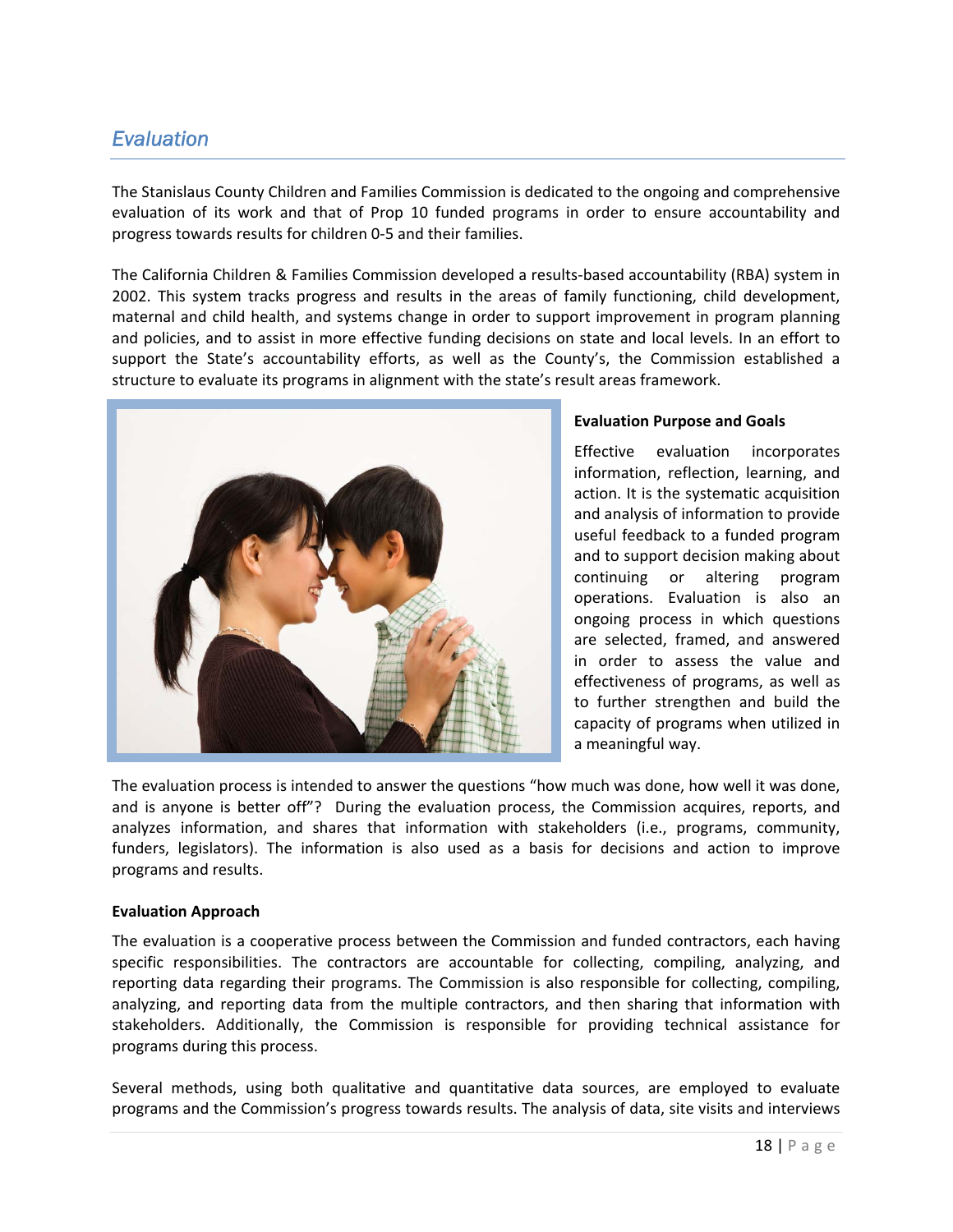# *Evaluation*

The Stanislaus County Children and Families Commission is dedicated to the ongoing and comprehensive evaluation of its work and that of Prop 10 funded programs in order to ensure accountability and progress towards results for children 0‐5 and their families.

The California Children & Families Commission developed a results‐based accountability (RBA) system in 2002. This system tracks progress and results in the areas of family functioning, child development, maternal and child health, and systems change in order to support improvement in program planning and policies, and to assist in more effective funding decisions on state and local levels. In an effort to support the State's accountability efforts, as well as the County's, the Commission established a structure to evaluate its programs in alignment with the state's result areas framework.



#### **Evaluation Purpose and Goals**

Effective evaluation incorporates information, reflection, learning, and action. It is the systematic acquisition and analysis of information to provide useful feedback to a funded program and to support decision making about continuing or altering program operations. Evaluation is also an ongoing process in which questions are selected, framed, and answered in order to assess the value and effectiveness of programs, as well as to further strengthen and build the capacity of programs when utilized in a meaningful way.

The evaluation process is intended to answer the questions "how much was done, how well it was done, and is anyone is better off"? During the evaluation process, the Commission acquires, reports, and analyzes information, and shares that information with stakeholders (i.e., programs, community, funders, legislators). The information is also used as a basis for decisions and action to improve programs and results.

#### **Evaluation Approach**

The evaluation is a cooperative process between the Commission and funded contractors, each having specific responsibilities. The contractors are accountable for collecting, compiling, analyzing, and reporting data regarding their programs. The Commission is also responsible for collecting, compiling, analyzing, and reporting data from the multiple contractors, and then sharing that information with stakeholders. Additionally, the Commission is responsible for providing technical assistance for programs during this process.

Several methods, using both qualitative and quantitative data sources, are employed to evaluate programs and the Commission's progress towards results. The analysis of data, site visits and interviews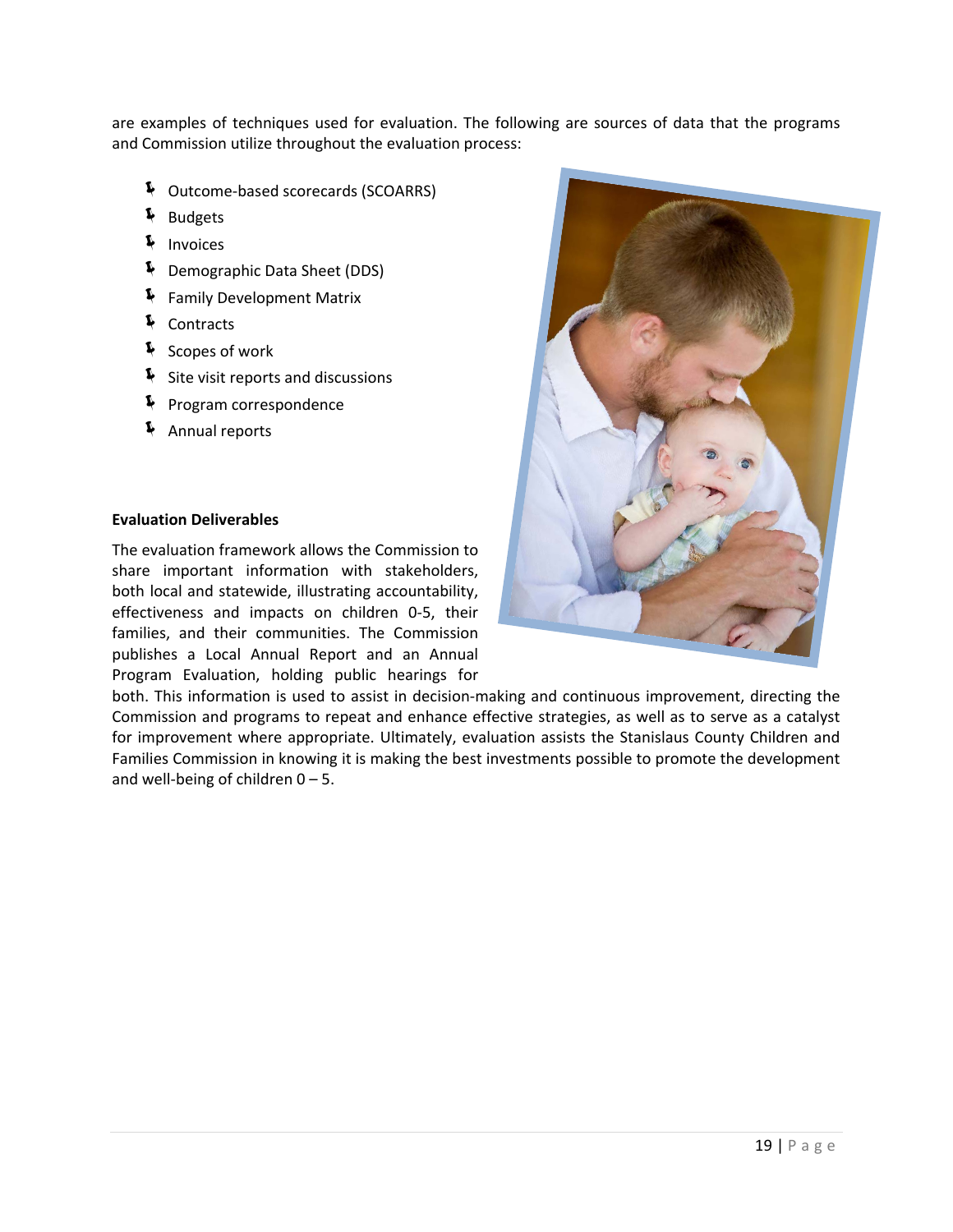are examples of techniques used for evaluation. The following are sources of data that the programs and Commission utilize throughout the evaluation process:

- Í Outcome‐based scorecards (SCOARRS)
- Í Budgets
- Í Invoices
- Í Demographic Data Sheet (DDS)
- Í Family Development Matrix
- Í Contracts
- $\frac{1}{2}$  Scopes of work
- $\blacklozenge$  Site visit reports and discussions
- **F** Program correspondence
- Í Annual reports

#### **Evaluation Deliverables**

The evaluation framework allows the Commission to share important information with stakeholders, both local and statewide, illustrating accountability, effectiveness and impacts on children 0‐5, their families, and their communities. The Commission publishes a Local Annual Report and an Annual Program Evaluation, holding public hearings for



both. This information is used to assist in decision-making and continuous improvement, directing the Commission and programs to repeat and enhance effective strategies, as well as to serve as a catalyst for improvement where appropriate. Ultimately, evaluation assists the Stanislaus County Children and Families Commission in knowing it is making the best investments possible to promote the development and well-being of children  $0 - 5$ .